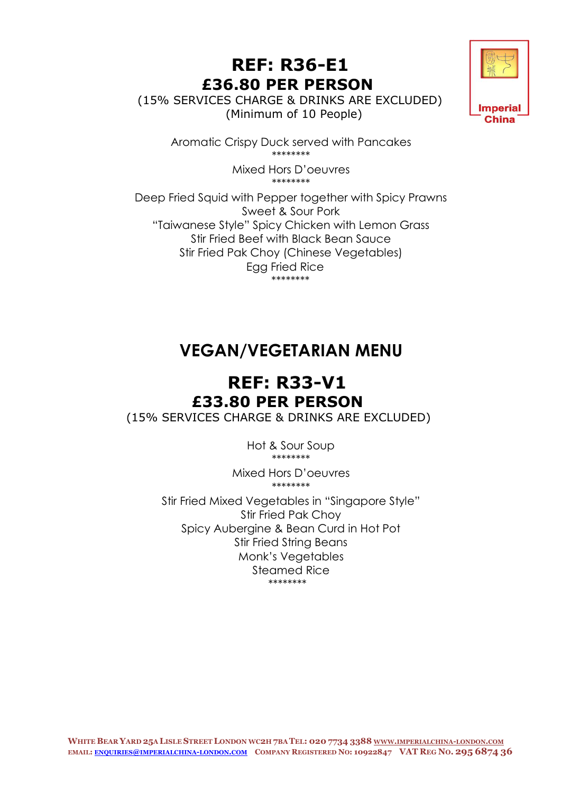#### **REF: R36-E1 £36.80 PER PERSON**

 (15% SERVICES CHARGE & DRINKS ARE EXCLUDED) (Minimum of 10 People)



Aromatic Crispy Duck served with Pancakes \*\*\*\*\*\*\*\*

> Mixed Hors D'oeuvres \*\*\*\*\*\*\*\*

Deep Fried Squid with Pepper together with Spicy Prawns Sweet & Sour Pork "Taiwanese Style" Spicy Chicken with Lemon Grass Stir Fried Beef with Black Bean Sauce Stir Fried Pak Choy (Chinese Vegetables) Egg Fried Rice \*\*\*\*\*\*\*\*

# **VEGAN/VEGETARIAN MENU**

#### **REF: R33-V1 £33.80 PER PERSON**

(15% SERVICES CHARGE & DRINKS ARE EXCLUDED)

Hot & Sour Soup \*\*\*\*\*\*\*\*

Mixed Hors D'oeuvres \*\*\*\*\*\*\*\*

Stir Fried Mixed Vegetables in "Singapore Style" Stir Fried Pak Choy Spicy Aubergine & Bean Curd in Hot Pot Stir Fried String Beans Monk's Vegetables Steamed Rice \*\*\*\*\*\*\*\*